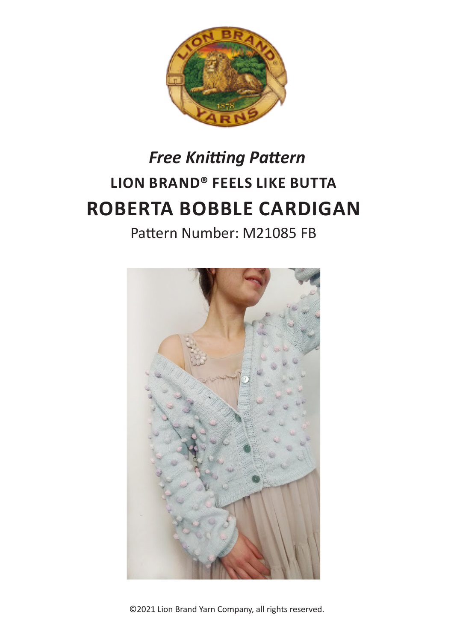

# **LION BRAND® FEELS LIKE BUTTA ROBERTA BOBBLE CARDIGAN** *Free Knitting Pattern*

Pattern Number: M21085 FB



©2021 Lion Brand Yarn Company, all rights reserved.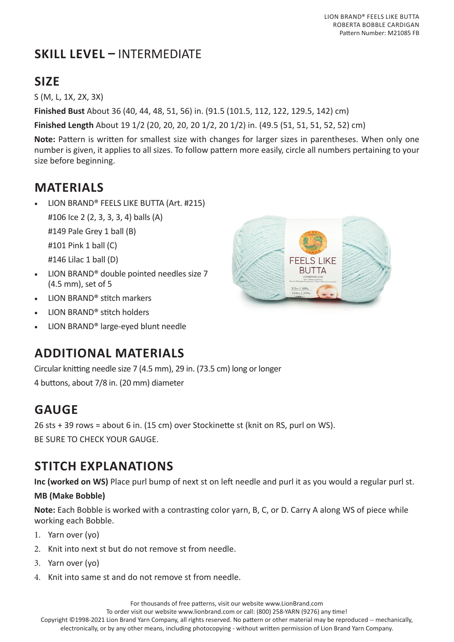LION BRAND® FEELS LIKE BUTTA ROBERTA BOBBLE CARDIGAN Pattern Number: M21085 FB

# **SKILL LEVEL –** INTERMEDIATE

# **SIZE**

S (M, L, 1X, 2X, 3X)

**Finished Bust** About 36 (40, 44, 48, 51, 56) in. (91.5 (101.5, 112, 122, 129.5, 142) cm)

**Finished Length** About 19 1/2 (20, 20, 20, 20 1/2, 20 1/2) in. (49.5 (51, 51, 51, 52, 52) cm)

**Note:** Pattern is written for smallest size with changes for larger sizes in parentheses. When only one number is given, it applies to all sizes. To follow pattern more easily, circle all numbers pertaining to your size before beginning.

# **MATERIALS**

- LION BRAND® FEELS LIKE BUTTA (Art. #215)
	- #106 Ice 2 (2, 3, 3, 3, 4) balls (A)

#149 Pale Grey 1 ball (B)

#101 Pink 1 ball (C)

#146 Lilac 1 ball (D)

- LION BRAND® double pointed needles size 7 (4.5 mm), set of 5
- LION BRAND® stitch markers
- LION BRAND® stitch holders
- LION BRAND® large-eyed blunt needle

# **ADDITIONAL MATERIALS**

Circular knitting needle size 7 (4.5 mm), 29 in. (73.5 cm) long or longer

4 buttons, about 7/8 in. (20 mm) diameter

# **GAUGE**

26 sts + 39 rows = about 6 in. (15 cm) over Stockinette st (knit on RS, purl on WS). BE SURE TO CHECK YOUR GAUGE.

# **STITCH EXPLANATIONS**

**Inc (worked on WS)** Place purl bump of next st on left needle and purl it as you would a regular purl st.

#### **MB (Make Bobble)**

**Note:** Each Bobble is worked with a contrasting color yarn, B, C, or D. Carry A along WS of piece while working each Bobble.

- 1. Yarn over (yo)
- 2. Knit into next st but do not remove st from needle.
- 3. Yarn over (yo)
- 4. Knit into same st and do not remove st from needle.

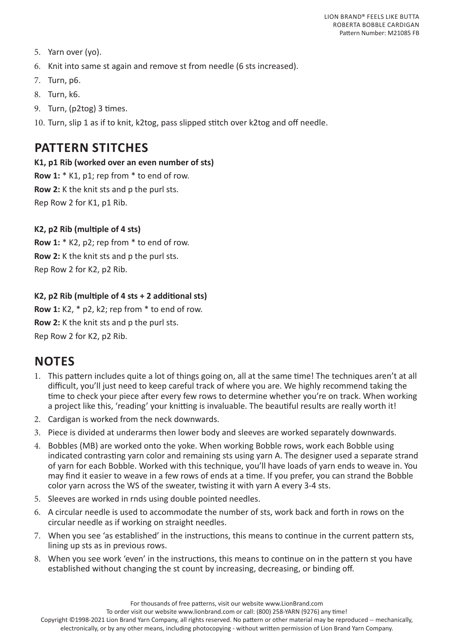- 5. Yarn over (yo).
- 6. Knit into same st again and remove st from needle (6 sts increased).
- 7. Turn, p6.
- 8. Turn, k6.
- 9. Turn, (p2tog) 3 times.
- 10. Turn, slip 1 as if to knit, k2tog, pass slipped stitch over k2tog and off needle.

### **PATTERN STITCHES**

#### **K1, p1 Rib (worked over an even number of sts)**

**Row 1:** \* K1, p1; rep from \* to end of row. **Row 2:** K the knit sts and p the purl sts. Rep Row 2 for K1, p1 Rib.

#### **K2, p2 Rib (multiple of 4 sts)**

**Row 1:** \* K2, p2; rep from \* to end of row. **Row 2:** K the knit sts and p the purl sts. Rep Row 2 for K2, p2 Rib.

#### **K2, p2 Rib (multiple of 4 sts + 2 additional sts)**

**Row 1:** K2, \* p2, k2; rep from \* to end of row. **Row 2:** K the knit sts and p the purl sts. Rep Row 2 for K2, p2 Rib.

### **NOTES**

- 1. This pattern includes quite a lot of things going on, all at the same time! The techniques aren't at all difficult, you'll just need to keep careful track of where you are. We highly recommend taking the time to check your piece after every few rows to determine whether you're on track. When working a project like this, 'reading' your knitting is invaluable. The beautiful results are really worth it!
- 2. Cardigan is worked from the neck downwards.
- 3. Piece is divided at underarms then lower body and sleeves are worked separately downwards.
- 4. Bobbles (MB) are worked onto the yoke. When working Bobble rows, work each Bobble using indicated contrasting yarn color and remaining sts using yarn A. The designer used a separate strand of yarn for each Bobble. Worked with this technique, you'll have loads of yarn ends to weave in. You may find it easier to weave in a few rows of ends at a time. If you prefer, you can strand the Bobble color yarn across the WS of the sweater, twisting it with yarn A every 3-4 sts.
- 5. Sleeves are worked in rnds using double pointed needles.
- 6. A circular needle is used to accommodate the number of sts, work back and forth in rows on the circular needle as if working on straight needles.
- 7. When you see 'as established' in the instructions, this means to continue in the current pattern sts, lining up sts as in previous rows.
- 8. When you see work 'even' in the instructions, this means to continue on in the pattern st you have established without changing the st count by increasing, decreasing, or binding off.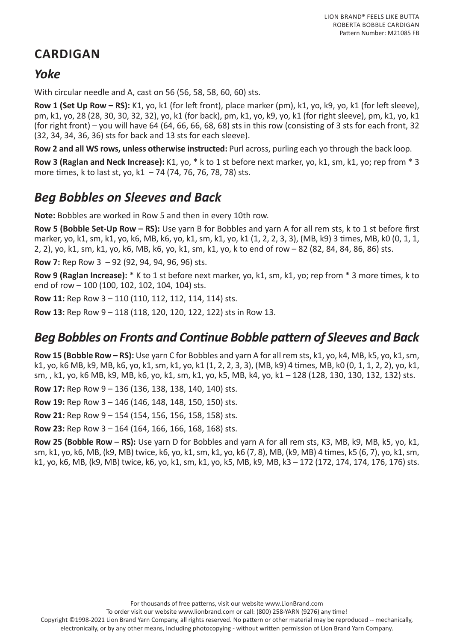# **CARDIGAN**

### *Yoke*

With circular needle and A, cast on 56 (56, 58, 58, 60, 60) sts.

**Row 1 (Set Up Row – RS):** K1, yo, k1 (for left front), place marker (pm), k1, yo, k9, yo, k1 (for left sleeve), pm, k1, yo, 28 (28, 30, 30, 32, 32), yo, k1 (for back), pm, k1, yo, k9, yo, k1 (for right sleeve), pm, k1, yo, k1 (for right front) – you will have 64 (64, 66, 66, 68, 68) sts in this row (consisting of 3 sts for each front, 32 (32, 34, 34, 36, 36) sts for back and 13 sts for each sleeve).

**Row 2 and all WS rows, unless otherwise instructed:** Purl across, purling each yo through the back loop.

**Row 3 (Raglan and Neck Increase):** K1, yo, \* k to 1 st before next marker, yo, k1, sm, k1, yo; rep from \* 3 more times, k to last st, yo, k1 - 74 (74, 76, 76, 78, 78) sts.

# *Beg Bobbles on Sleeves and Back*

**Note:** Bobbles are worked in Row 5 and then in every 10th row.

**Row 5 (Bobble Set-Up Row – RS):** Use yarn B for Bobbles and yarn A for all rem sts, k to 1 st before first marker, yo, k1, sm, k1, yo, k6, MB, k6, yo, k1, sm, k1, yo, k1 (1, 2, 2, 3, 3), (MB, k9) 3 times, MB, k0 (0, 1, 1, 2, 2), yo, k1, sm, k1, yo, k6, MB, k6, yo, k1, sm, k1, yo, k to end of row – 82 (82, 84, 84, 86, 86) sts.

**Row 7:** Rep Row 3 – 92 (92, 94, 94, 96, 96) sts.

**Row 9 (Raglan Increase):** \* K to 1 st before next marker, yo, k1, sm, k1, yo; rep from \* 3 more times, k to end of row – 100 (100, 102, 102, 104, 104) sts.

**Row 11:** Rep Row 3 – 110 (110, 112, 112, 114, 114) sts.

**Row 13:** Rep Row 9 – 118 (118, 120, 120, 122, 122) sts in Row 13.

### *Beg Bobbles on Fronts and Continue Bobble pattern of Sleeves and Back*

**Row 15 (Bobble Row – RS):** Use yarn C for Bobbles and yarn A for all rem sts, k1, yo, k4, MB, k5, yo, k1, sm, k1, yo, k6 MB, k9, MB, k6, yo, k1, sm, k1, yo, k1 (1, 2, 2, 3, 3), (MB, k9) 4 times, MB, k0 (0, 1, 1, 2, 2), yo, k1, sm, , k1, yo, k6 MB, k9, MB, k6, yo, k1, sm, k1, yo, k5, MB, k4, yo, k1 – 128 (128, 130, 130, 132, 132) sts.

**Row 17:** Rep Row 9 – 136 (136, 138, 138, 140, 140) sts.

**Row 19:** Rep Row 3 – 146 (146, 148, 148, 150, 150) sts.

**Row 21:** Rep Row 9 – 154 (154, 156, 156, 158, 158) sts.

**Row 23:** Rep Row 3 – 164 (164, 166, 166, 168, 168) sts.

**Row 25 (Bobble Row – RS):** Use yarn D for Bobbles and yarn A for all rem sts, K3, MB, k9, MB, k5, yo, k1, sm, k1, yo, k6, MB, (k9, MB) twice, k6, yo, k1, sm, k1, yo, k6 (7, 8), MB, (k9, MB) 4 times, k5 (6, 7), yo, k1, sm, k1, yo, k6, MB, (k9, MB) twice, k6, yo, k1, sm, k1, yo, k5, MB, k9, MB, k3 – 172 (172, 174, 174, 176, 176) sts.

For thousands of free patterns, visit our website www.LionBrand.com

To order visit our website www.lionbrand.com or call: (800) 258-YARN (9276) any time!

Copyright ©1998-2021 Lion Brand Yarn Company, all rights reserved. No pattern or other material may be reproduced -- mechanically, electronically, or by any other means, including photocopying - without written permission of Lion Brand Yarn Company.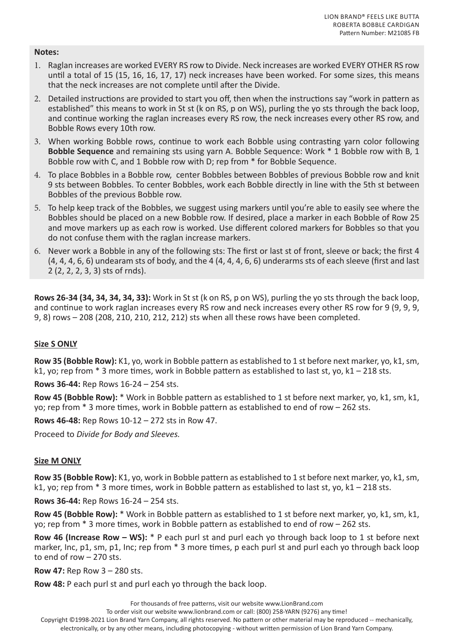#### **Notes:**

- 1. Raglan increases are worked EVERY RS row to Divide. Neck increases are worked EVERY OTHER RS row until a total of 15 (15, 16, 16, 17, 17) neck increases have been worked. For some sizes, this means that the neck increases are not complete until after the Divide.
- 2. Detailed instructions are provided to start you off, then when the instructions say "work in pattern as established" this means to work in St st (k on RS, p on WS), purling the yo sts through the back loop, and continue working the raglan increases every RS row, the neck increases every other RS row, and Bobble Rows every 10th row.
- 3. When working Bobble rows, continue to work each Bobble using contrasting yarn color following **Bobble Sequence** and remaining sts using yarn A. Bobble Sequence: Work \* 1 Bobble row with B, 1 Bobble row with C, and 1 Bobble row with D; rep from \* for Bobble Sequence.
- 4. To place Bobbles in a Bobble row, center Bobbles between Bobbles of previous Bobble row and knit 9 sts between Bobbles. To center Bobbles, work each Bobble directly in line with the 5th st between Bobbles of the previous Bobble row.
- 5. To help keep track of the Bobbles, we suggest using markers until you're able to easily see where the Bobbles should be placed on a new Bobble row. If desired, place a marker in each Bobble of Row 25 and move markers up as each row is worked. Use different colored markers for Bobbles so that you do not confuse them with the raglan increase markers.
- 6. Never work a Bobble in any of the following sts: The first or last st of front, sleeve or back; the first 4 (4, 4, 4, 6, 6) undearam sts of body, and the 4 (4, 4, 4, 6, 6) underarms sts of each sleeve (first and last 2 (2, 2, 2, 3, 3) sts of rnds).

**Rows 26-34 (34, 34, 34, 34, 33):** Work in St st (k on RS, p on WS), purling the yo sts through the back loop, and continue to work raglan increases every RS row and neck increases every other RS row for 9 (9, 9, 9, 9, 8) rows – 208 (208, 210, 210, 212, 212) sts when all these rows have been completed.

#### **Size S ONLY**

**Row 35 (Bobble Row):** K1, yo, work in Bobble pattern as established to 1 st before next marker, yo, k1, sm, k1, yo; rep from \* 3 more times, work in Bobble pattern as established to last st, yo, k1 – 218 sts.

**Rows 36-44:** Rep Rows 16-24 – 254 sts.

**Row 45 (Bobble Row):** \* Work in Bobble pattern as established to 1 st before next marker, yo, k1, sm, k1, yo; rep from \* 3 more times, work in Bobble pattern as established to end of row – 262 sts.

**Rows 46-48:** Rep Rows 10-12 – 272 sts in Row 47.

Proceed to *Divide for Body and Sleeves.*

#### **Size M ONLY**

**Row 35 (Bobble Row):** K1, yo, work in Bobble pattern as established to 1 st before next marker, yo, k1, sm, k1, yo; rep from \* 3 more times, work in Bobble pattern as established to last st, yo, k1 – 218 sts.

**Rows 36-44:** Rep Rows 16-24 – 254 sts.

**Row 45 (Bobble Row):** \* Work in Bobble pattern as established to 1 st before next marker, yo, k1, sm, k1, yo; rep from \* 3 more times, work in Bobble pattern as established to end of row – 262 sts.

**Row 46 (Increase Row – WS):** \* P each purl st and purl each yo through back loop to 1 st before next marker, Inc, p1, sm, p1, Inc; rep from  $*$  3 more times, p each purl st and purl each yo through back loop to end of row – 270 sts.

**Row 47:** Rep Row 3 – 280 sts.

**Row 48:** P each purl st and purl each yo through the back loop.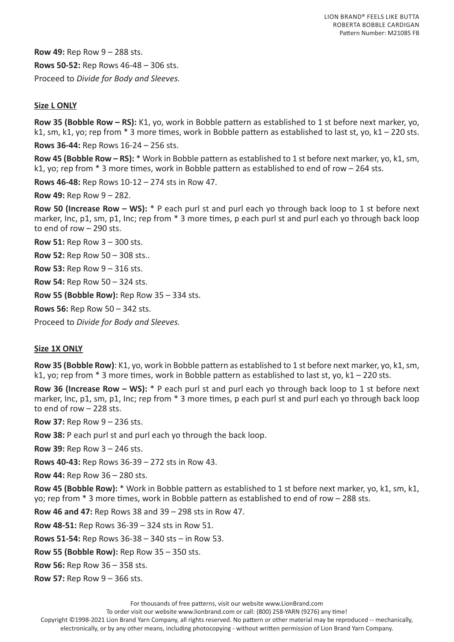**Row 49:** Rep Row 9 – 288 sts. **Rows 50-52:** Rep Rows 46-48 – 306 sts. Proceed to *Divide for Body and Sleeves.*

#### **Size L ONLY**

**Row 35 (Bobble Row – RS):** K1, yo, work in Bobble pattern as established to 1 st before next marker, yo, k1, sm, k1, yo; rep from \* 3 more times, work in Bobble pattern as established to last st, yo, k1 – 220 sts.

**Rows 36-44:** Rep Rows 16-24 – 256 sts.

**Row 45 (Bobble Row – RS):** \* Work in Bobble pattern as established to 1 st before next marker, yo, k1, sm, k1, yo; rep from \* 3 more times, work in Bobble pattern as established to end of row – 264 sts.

**Rows 46-48:** Rep Rows 10-12 – 274 sts in Row 47.

**Row 49:** Rep Row 9 – 282.

**Row 50 (Increase Row – WS):** \* P each purl st and purl each yo through back loop to 1 st before next marker, Inc, p1, sm, p1, Inc; rep from  $*$  3 more times, p each purl st and purl each yo through back loop to end of row – 290 sts.

**Row 51:** Rep Row 3 – 300 sts.

**Row 52:** Rep Row 50 – 308 sts..

**Row 53:** Rep Row 9 – 316 sts.

**Row 54:** Rep Row 50 – 324 sts.

**Row 55 (Bobble Row):** Rep Row 35 – 334 sts.

**Rows 56:** Rep Row 50 – 342 sts.

Proceed to *Divide for Body and Sleeves.*

#### **Size 1X ONLY**

**Row 35 (Bobble Row)**: K1, yo, work in Bobble pattern as established to 1 st before next marker, yo, k1, sm, k1, yo; rep from \* 3 more times, work in Bobble pattern as established to last st, yo, k1 – 220 sts.

**Row 36 (Increase Row – WS):** \* P each purl st and purl each yo through back loop to 1 st before next marker, Inc, p1, sm, p1, Inc; rep from  $*$  3 more times, p each purl st and purl each yo through back loop to end of row – 228 sts.

**Row 37:** Rep Row 9 – 236 sts.

**Row 38:** P each purl st and purl each yo through the back loop.

**Row 39:** Rep Row 3 – 246 sts.

**Rows 40-43:** Rep Rows 36-39 – 272 sts in Row 43.

**Row 44:** Rep Row 36 – 280 sts.

**Row 45 (Bobble Row):** \* Work in Bobble pattern as established to 1 st before next marker, yo, k1, sm, k1, yo; rep from \* 3 more times, work in Bobble pattern as established to end of row – 288 sts.

**Row 46 and 47:** Rep Rows 38 and 39 – 298 sts in Row 47.

**Row 48-51:** Rep Rows 36-39 – 324 sts in Row 51.

**Rows 51-54:** Rep Rows 36-38 – 340 sts – in Row 53.

**Row 55 (Bobble Row):** Rep Row 35 – 350 sts.

**Row 56:** Rep Row 36 – 358 sts.

**Row 57:** Rep Row 9 – 366 sts.

For thousands of free patterns, visit our website www.LionBrand.com

To order visit our website www.lionbrand.com or call: (800) 258-YARN (9276) any time!

Copyright ©1998-2021 Lion Brand Yarn Company, all rights reserved. No pattern or other material may be reproduced -- mechanically, electronically, or by any other means, including photocopying - without written permission of Lion Brand Yarn Company.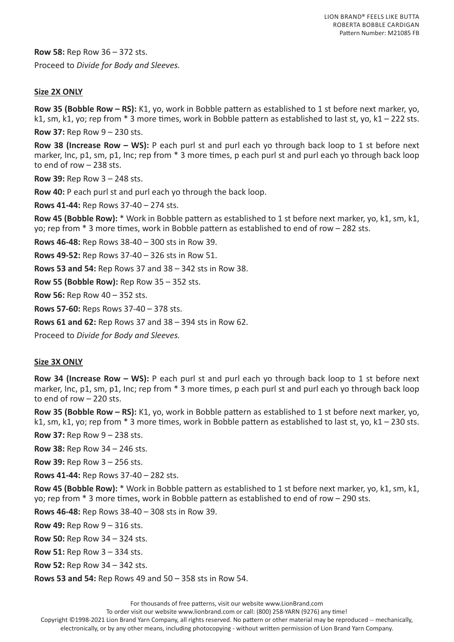**Row 58:** Rep Row 36 – 372 sts. Proceed to *Divide for Body and Sleeves.*

#### **Size 2X ONLY**

**Row 35 (Bobble Row – RS):** K1, yo, work in Bobble pattern as established to 1 st before next marker, yo, k1, sm, k1, yo; rep from \* 3 more times, work in Bobble pattern as established to last st, yo, k1 – 222 sts.

**Row 37:** Rep Row 9 – 230 sts.

**Row 38 (Increase Row – WS):** P each purl st and purl each yo through back loop to 1 st before next marker, Inc, p1, sm, p1, Inc; rep from  $*$  3 more times, p each purl st and purl each yo through back loop to end of row – 238 sts.

**Row 39:** Rep Row 3 – 248 sts.

**Row 40:** P each purl st and purl each yo through the back loop.

**Rows 41-44:** Rep Rows 37-40 – 274 sts.

**Row 45 (Bobble Row):** \* Work in Bobble pattern as established to 1 st before next marker, yo, k1, sm, k1, yo; rep from \* 3 more times, work in Bobble pattern as established to end of row – 282 sts.

**Rows 46-48:** Rep Rows 38-40 – 300 sts in Row 39.

**Rows 49-52:** Rep Rows 37-40 – 326 sts in Row 51.

**Rows 53 and 54:** Rep Rows 37 and 38 – 342 sts in Row 38.

**Row 55 (Bobble Row):** Rep Row 35 – 352 sts.

**Row 56:** Rep Row 40 – 352 sts.

**Rows 57-60:** Reps Rows 37-40 – 378 sts.

**Rows 61 and 62:** Rep Rows 37 and 38 – 394 sts in Row 62.

Proceed to *Divide for Body and Sleeves.*

#### **Size 3X ONLY**

**Row 34 (Increase Row – WS):** P each purl st and purl each yo through back loop to 1 st before next marker, Inc, p1, sm, p1, Inc; rep from  $*$  3 more times, p each purl st and purl each yo through back loop to end of row – 220 sts.

**Row 35 (Bobble Row – RS):** K1, yo, work in Bobble pattern as established to 1 st before next marker, yo, k1, sm, k1, yo; rep from \* 3 more times, work in Bobble pattern as established to last st, yo, k1 – 230 sts.

**Row 37:** Rep Row 9 – 238 sts.

**Row 38:** Rep Row 34 – 246 sts.

**Row 39:** Rep Row 3 – 256 sts.

**Rows 41-44:** Rep Rows 37-40 – 282 sts.

**Row 45 (Bobble Row):** \* Work in Bobble pattern as established to 1 st before next marker, yo, k1, sm, k1, yo; rep from \* 3 more times, work in Bobble pattern as established to end of row – 290 sts.

**Rows 46-48:** Rep Rows 38-40 – 308 sts in Row 39.

**Row 49:** Rep Row 9 – 316 sts.

**Row 50:** Rep Row 34 – 324 sts.

**Row 51:** Rep Row 3 – 334 sts.

**Row 52:** Rep Row 34 – 342 sts.

**Rows 53 and 54:** Rep Rows 49 and 50 – 358 sts in Row 54.

For thousands of free patterns, visit our website www.LionBrand.com

To order visit our website www.lionbrand.com or call: (800) 258-YARN (9276) any time!

Copyright ©1998-2021 Lion Brand Yarn Company, all rights reserved. No pattern or other material may be reproduced -- mechanically,

electronically, or by any other means, including photocopying - without written permission of Lion Brand Yarn Company.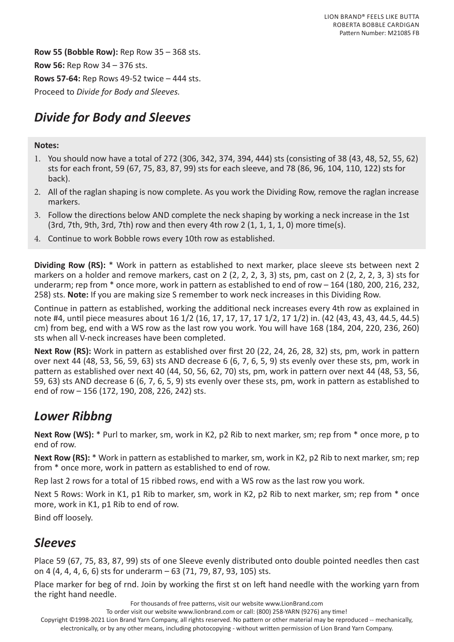**Row 55 (Bobble Row):** Rep Row 35 – 368 sts. **Row 56:** Rep Row 34 – 376 sts. **Rows 57-64:** Rep Rows 49-52 twice – 444 sts. Proceed to *Divide for Body and Sleeves.*

# *Divide for Body and Sleeves*

#### **Notes:**

- 1. You should now have a total of 272 (306, 342, 374, 394, 444) sts (consisting of 38 (43, 48, 52, 55, 62) sts for each front, 59 (67, 75, 83, 87, 99) sts for each sleeve, and 78 (86, 96, 104, 110, 122) sts for back).
- 2. All of the raglan shaping is now complete. As you work the Dividing Row, remove the raglan increase markers.
- 3. Follow the directions below AND complete the neck shaping by working a neck increase in the 1st  $(3rd, 7th, 9th, 3rd, 7th)$  row and then every 4th row 2  $(1, 1, 1, 1, 0)$  more time(s).
- 4. Continue to work Bobble rows every 10th row as established.

**Dividing Row (RS):** \* Work in pattern as established to next marker, place sleeve sts between next 2 markers on a holder and remove markers, cast on 2 (2, 2, 2, 3, 3) sts, pm, cast on 2 (2, 2, 2, 3, 3) sts for underarm; rep from \* once more, work in pattern as established to end of row – 164 (180, 200, 216, 232, 258) sts. **Note:** If you are making size S remember to work neck increases in this Dividing Row.

Continue in pattern as established, working the additional neck increases every 4th row as explained in note #4, until piece measures about 16 1/2 (16, 17, 17, 17, 17 1/2, 17 1/2) in. (42 (43, 43, 43, 44.5, 44.5) cm) from beg, end with a WS row as the last row you work. You will have 168 (184, 204, 220, 236, 260) sts when all V-neck increases have been completed.

**Next Row (RS):** Work in pattern as established over first 20 (22, 24, 26, 28, 32) sts, pm, work in pattern over next 44 (48, 53, 56, 59, 63) sts AND decrease 6 (6, 7, 6, 5, 9) sts evenly over these sts, pm, work in pattern as established over next 40 (44, 50, 56, 62, 70) sts, pm, work in pattern over next 44 (48, 53, 56, 59, 63) sts AND decrease 6 (6, 7, 6, 5, 9) sts evenly over these sts, pm, work in pattern as established to end of row – 156 (172, 190, 208, 226, 242) sts.

### *Lower Ribbng*

**Next Row (WS):** \* Purl to marker, sm, work in K2, p2 Rib to next marker, sm; rep from \* once more, p to end of row.

**Next Row (RS):** \* Work in pattern as established to marker, sm, work in K2, p2 Rib to next marker, sm; rep from \* once more, work in pattern as established to end of row.

Rep last 2 rows for a total of 15 ribbed rows, end with a WS row as the last row you work.

Next 5 Rows: Work in K1, p1 Rib to marker, sm, work in K2, p2 Rib to next marker, sm; rep from  $*$  once more, work in K1, p1 Rib to end of row.

Bind off loosely.

### *Sleeves*

Place 59 (67, 75, 83, 87, 99) sts of one Sleeve evenly distributed onto double pointed needles then cast on 4 (4, 4, 4, 6, 6) sts for underarm – 63 (71, 79, 87, 93, 105) sts.

Place marker for beg of rnd. Join by working the first st on left hand needle with the working yarn from the right hand needle.

For thousands of free patterns, visit our website www.LionBrand.com

To order visit our website www.lionbrand.com or call: (800) 258-YARN (9276) any time!

Copyright ©1998-2021 Lion Brand Yarn Company, all rights reserved. No pattern or other material may be reproduced -- mechanically,

electronically, or by any other means, including photocopying - without written permission of Lion Brand Yarn Company.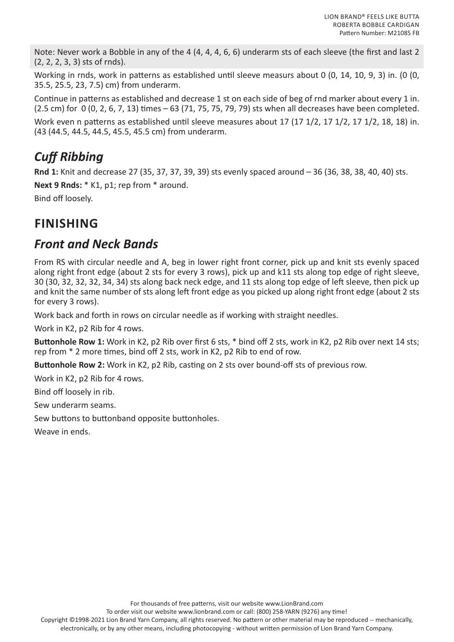Note: Never work a Bobble in any of the 4 (4, 4, 4, 6, 6) underarm sts of each sleeve (the first and last 2 (2, 2, 2, 3, 3) sts of rnds).

Working in rnds, work in patterns as established until sleeve measurs about 0 (0, 14, 10, 9, 3) in. (0 (0, 35.5, 25.5, 23, 7.5) cm) from underarm.

Continue in patterns as established and decrease 1 st on each side of beg of rnd marker about every 1 in. (2.5 cm) for 0 (0, 2, 6, 7, 13) times – 63 (71, 75, 75, 79, 79) sts when all decreases have been completed.

Work even n patterns as established until sleeve measures about 17 (17 1/2, 17 1/2, 17 1/2, 18, 18) in. (43 (44.5, 44.5, 44.5, 45.5, 45.5 cm) from underarm.

# *Cuff Ribbing*

**Rnd 1:** Knit and decrease 27 (35, 37, 37, 39, 39) sts evenly spaced around – 36 (36, 38, 38, 40, 40) sts. **Next 9 Rnds:** \* K1, p1; rep from \* around.

Bind off loosely.

# **FINISHING**

### *Front and Neck Bands*

From RS with circular needle and A, beg in lower right front corner, pick up and knit sts evenly spaced along right front edge (about 2 sts for every 3 rows), pick up and k11 sts along top edge of right sleeve, 30 (30, 32, 32, 32, 34, 34) sts along back neck edge, and 11 sts along top edge of left sleeve, then pick up and knit the same number of sts along left front edge as you picked up along right front edge (about 2 sts for every 3 rows).

Work back and forth in rows on circular needle as if working with straight needles.

Work in K2, p2 Rib for 4 rows.

**Buttonhole Row 1:** Work in K2, p2 Rib over first 6 sts, \* bind off 2 sts, work in K2, p2 Rib over next 14 sts; rep from \* 2 more times, bind off 2 sts, work in K2, p2 Rib to end of row.

**Buttonhole Row 2:** Work in K2, p2 Rib, casting on 2 sts over bound-off sts of previous row.

Work in K2, p2 Rib for 4 rows.

Bind off loosely in rib.

Sew underarm seams.

Sew buttons to buttonband opposite buttonholes.

Weave in ends.

To order visit our website www.lionbrand.com or call: (800) 258-YARN (9276) any time!

Copyright ©1998-2021 Lion Brand Yarn Company, all rights reserved. No pattern or other material may be reproduced -- mechanically, electronically, or by any other means, including photocopying - without written permission of Lion Brand Yarn Company.